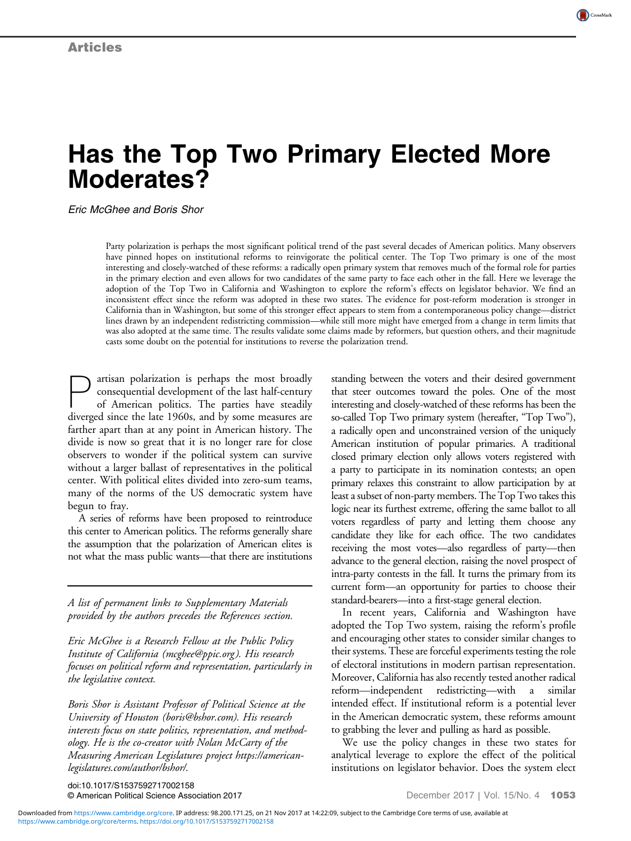# Has the Top Two Primary Elected More Moderates?

Eric McGhee and Boris Shor

Party polarization is perhaps the most significant political trend of the past several decades of American politics. Many observers have pinned hopes on institutional reforms to reinvigorate the political center. The Top Two primary is one of the most interesting and closely-watched of these reforms: a radically open primary system that removes much of the formal role for parties in the primary election and even allows for two candidates of the same party to face each other in the fall. Here we leverage the adoption of the Top Two in California and Washington to explore the reform's effects on legislator behavior. We find an inconsistent effect since the reform was adopted in these two states. The evidence for post-reform moderation is stronger in California than in Washington, but some of this stronger effect appears to stem from a contemporaneous policy change—district lines drawn by an independent redistricting commission—while still more might have emerged from a change in term limits that was also adopted at the same time. The results validate some claims made by reformers, but question others, and their magnitude casts some doubt on the potential for institutions to reverse the polarization trend.

artisan polarization is perhaps the most broadly consequential development of the last half-century of American politics. The parties have steadily diverged since the late 1960s, and by some measures are farther apart than at any point in American history. The divide is now so great that it is no longer rare for close observers to wonder if the political system can survive without a larger ballast of representatives in the political center. With political elites divided into zero-sum teams, many of the norms of the US democratic system have begun to fray.

A series of reforms have been proposed to reintroduce this center to American politics. The reforms generally share the assumption that the polarization of American elites is not what the mass public wants—that there are institutions

A list of permanent links to Supplementary Materials provided by the authors precedes the References section.

Eric McGhee is a Research Fellow at the Public Policy Institute of California (mcghee@ppic.org ). His research focuses on political reform and representation, particularly in the legislative context.

Boris Shor is Assistant Professor of Political Science at the University of Houston (boris@bshor.com). His research interests focus on state politics, representation, and methodology. He is the co-creator with Nolan McCarty of the Measuring American Legislatures project [https://american](https://americanlegislatures.com/author/bshor/)[legislatures.com/author/bshor/.](https://americanlegislatures.com/author/bshor/)

standing between the voters and their desired government that steer outcomes toward the poles. One of the most interesting and closely-watched of these reforms has been the so-called Top Two primary system (hereafter, "Top Two"), a radically open and unconstrained version of the uniquely American institution of popular primaries. A traditional closed primary election only allows voters registered with a party to participate in its nomination contests; an open primary relaxes this constraint to allow participation by at least a subset of non-party members. The Top Two takes this logic near its furthest extreme, offering the same ballot to all voters regardless of party and letting them choose any candidate they like for each office. The two candidates receiving the most votes—also regardless of party—then advance to the general election, raising the novel prospect of intra-party contests in the fall. It turns the primary from its current form—an opportunity for parties to choose their standard-bearers—into a first-stage general election.

In recent years, California and Washington have adopted the Top Two system, raising the reform's profile and encouraging other states to consider similar changes to their systems. These are forceful experiments testing the role of electoral institutions in modern partisan representation. Moreover, California has also recently tested another radical reform—independent redistricting—with a similar intended effect. If institutional reform is a potential lever in the American democratic system, these reforms amount to grabbing the lever and pulling as hard as possible.

We use the policy changes in these two states for analytical leverage to explore the effect of the political institutions on legislator behavior. Does the system elect

doi:10.1017/S1537592717002158 © American Political Science Association 2017 December 2017 | Vol. 15/No. 4 1053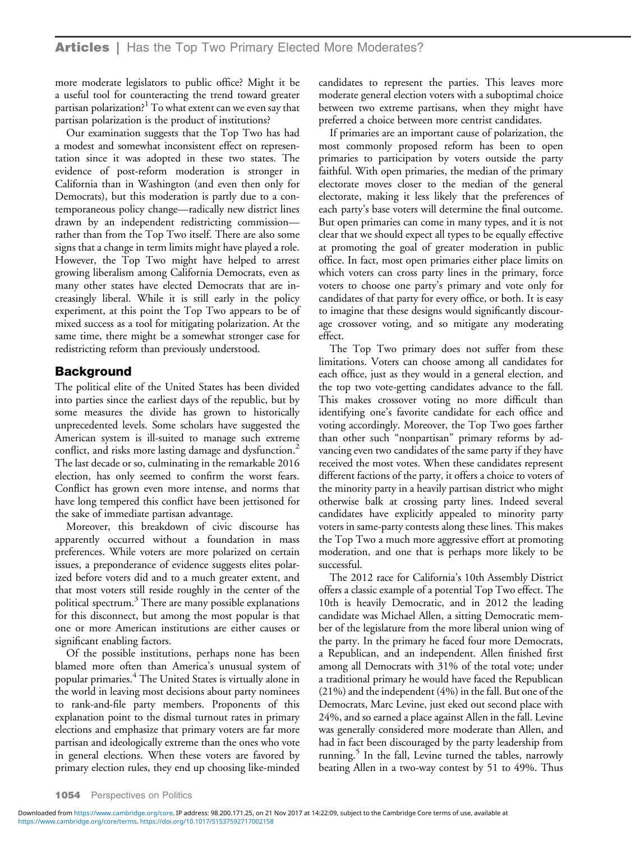more moderate legislators to public office? Might it be a useful tool for counteracting the trend toward greater partisan polarization?<sup>1</sup> To what extent can we even say that partisan polarization is the product of institutions?

Our examination suggests that the Top Two has had a modest and somewhat inconsistent effect on representation since it was adopted in these two states. The evidence of post-reform moderation is stronger in California than in Washington (and even then only for Democrats), but this moderation is partly due to a contemporaneous policy change—radically new district lines drawn by an independent redistricting commission rather than from the Top Two itself. There are also some signs that a change in term limits might have played a role. However, the Top Two might have helped to arrest growing liberalism among California Democrats, even as many other states have elected Democrats that are increasingly liberal. While it is still early in the policy experiment, at this point the Top Two appears to be of mixed success as a tool for mitigating polarization. At the same time, there might be a somewhat stronger case for redistricting reform than previously understood.

## Background

The political elite of the United States has been divided into parties since the earliest days of the republic, but by some measures the divide has grown to historically unprecedented levels. Some scholars have suggested the American system is ill-suited to manage such extreme conflict, and risks more lasting damage and dysfunction.<sup>2</sup> The last decade or so, culminating in the remarkable 2016 election, has only seemed to confirm the worst fears. Conflict has grown even more intense, and norms that have long tempered this conflict have been jettisoned for the sake of immediate partisan advantage.

Moreover, this breakdown of civic discourse has apparently occurred without a foundation in mass preferences. While voters are more polarized on certain issues, a preponderance of evidence suggests elites polarized before voters did and to a much greater extent, and that most voters still reside roughly in the center of the political spectrum.<sup>3</sup> There are many possible explanations for this disconnect, but among the most popular is that one or more American institutions are either causes or significant enabling factors.

Of the possible institutions, perhaps none has been blamed more often than America's unusual system of popular primaries.<sup>4</sup> The United States is virtually alone in the world in leaving most decisions about party nominees to rank-and-file party members. Proponents of this explanation point to the dismal turnout rates in primary elections and emphasize that primary voters are far more partisan and ideologically extreme than the ones who vote in general elections. When these voters are favored by primary election rules, they end up choosing like-minded

candidates to represent the parties. This leaves more moderate general election voters with a suboptimal choice between two extreme partisans, when they might have preferred a choice between more centrist candidates.

If primaries are an important cause of polarization, the most commonly proposed reform has been to open primaries to participation by voters outside the party faithful. With open primaries, the median of the primary electorate moves closer to the median of the general electorate, making it less likely that the preferences of each party's base voters will determine the final outcome. But open primaries can come in many types, and it is not clear that we should expect all types to be equally effective at promoting the goal of greater moderation in public office. In fact, most open primaries either place limits on which voters can cross party lines in the primary, force voters to choose one party's primary and vote only for candidates of that party for every office, or both. It is easy to imagine that these designs would significantly discourage crossover voting, and so mitigate any moderating effect.

The Top Two primary does not suffer from these limitations. Voters can choose among all candidates for each office, just as they would in a general election, and the top two vote-getting candidates advance to the fall. This makes crossover voting no more difficult than identifying one's favorite candidate for each office and voting accordingly. Moreover, the Top Two goes farther than other such "nonpartisan" primary reforms by advancing even two candidates of the same party if they have received the most votes. When these candidates represent different factions of the party, it offers a choice to voters of the minority party in a heavily partisan district who might otherwise balk at crossing party lines. Indeed several candidates have explicitly appealed to minority party voters in same-party contests along these lines. This makes the Top Two a much more aggressive effort at promoting moderation, and one that is perhaps more likely to be successful.

The 2012 race for California's 10th Assembly District offers a classic example of a potential Top Two effect. The 10th is heavily Democratic, and in 2012 the leading candidate was Michael Allen, a sitting Democratic member of the legislature from the more liberal union wing of the party. In the primary he faced four more Democrats, a Republican, and an independent. Allen finished first among all Democrats with 31% of the total vote; under a traditional primary he would have faced the Republican (21%) and the independent (4%) in the fall. But one of the Democrats, Marc Levine, just eked out second place with 24%, and so earned a place against Allen in the fall. Levine was generally considered more moderate than Allen, and had in fact been discouraged by the party leadership from running.<sup>5</sup> In the fall, Levine turned the tables, narrowly beating Allen in a two-way contest by 51 to 49%. Thus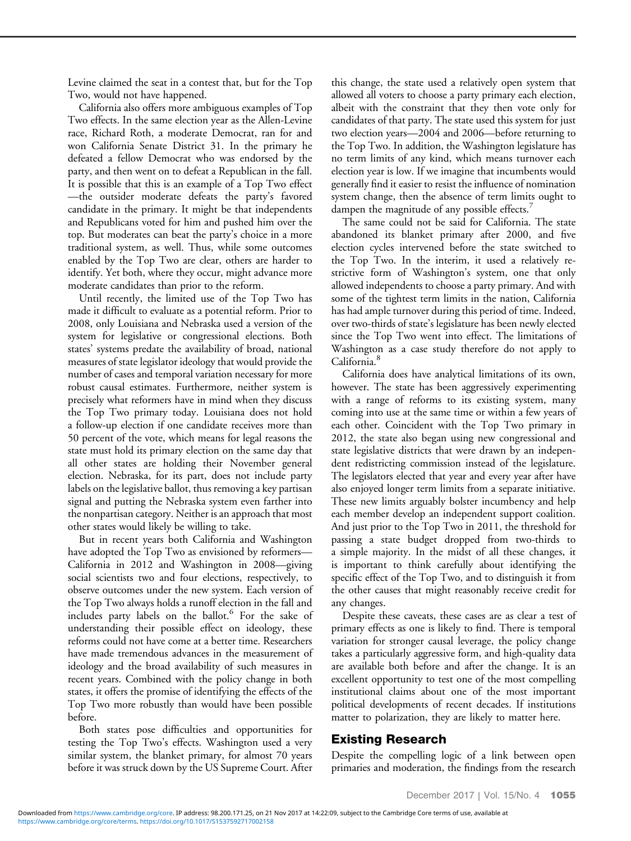Levine claimed the seat in a contest that, but for the Top Two, would not have happened.

California also offers more ambiguous examples of Top Two effects. In the same election year as the Allen-Levine race, Richard Roth, a moderate Democrat, ran for and won California Senate District 31. In the primary he defeated a fellow Democrat who was endorsed by the party, and then went on to defeat a Republican in the fall. It is possible that this is an example of a Top Two effect —the outsider moderate defeats the party's favored candidate in the primary. It might be that independents and Republicans voted for him and pushed him over the top. But moderates can beat the party's choice in a more traditional system, as well. Thus, while some outcomes enabled by the Top Two are clear, others are harder to identify. Yet both, where they occur, might advance more moderate candidates than prior to the reform.

Until recently, the limited use of the Top Two has made it difficult to evaluate as a potential reform. Prior to 2008, only Louisiana and Nebraska used a version of the system for legislative or congressional elections. Both states' systems predate the availability of broad, national measures of state legislator ideology that would provide the number of cases and temporal variation necessary for more robust causal estimates. Furthermore, neither system is precisely what reformers have in mind when they discuss the Top Two primary today. Louisiana does not hold a follow-up election if one candidate receives more than 50 percent of the vote, which means for legal reasons the state must hold its primary election on the same day that all other states are holding their November general election. Nebraska, for its part, does not include party labels on the legislative ballot, thus removing a key partisan signal and putting the Nebraska system even farther into the nonpartisan category. Neither is an approach that most other states would likely be willing to take.

But in recent years both California and Washington have adopted the Top Two as envisioned by reformers— California in 2012 and Washington in 2008—giving social scientists two and four elections, respectively, to observe outcomes under the new system. Each version of the Top Two always holds a runoff election in the fall and includes party labels on the ballot.<sup>6</sup> For the sake of understanding their possible effect on ideology, these reforms could not have come at a better time. Researchers have made tremendous advances in the measurement of ideology and the broad availability of such measures in recent years. Combined with the policy change in both states, it offers the promise of identifying the effects of the Top Two more robustly than would have been possible before.

Both states pose difficulties and opportunities for testing the Top Two's effects. Washington used a very similar system, the blanket primary, for almost 70 years before it was struck down by the US Supreme Court. After

this change, the state used a relatively open system that allowed all voters to choose a party primary each election, albeit with the constraint that they then vote only for candidates of that party. The state used this system for just two election years—2004 and 2006—before returning to the Top Two. In addition, the Washington legislature has no term limits of any kind, which means turnover each election year is low. If we imagine that incumbents would generally find it easier to resist the influence of nomination system change, then the absence of term limits ought to dampen the magnitude of any possible effects.<sup>7</sup>

The same could not be said for California. The state abandoned its blanket primary after 2000, and five election cycles intervened before the state switched to the Top Two. In the interim, it used a relatively restrictive form of Washington's system, one that only allowed independents to choose a party primary. And with some of the tightest term limits in the nation, California has had ample turnover during this period of time. Indeed, over two-thirds of state's legislature has been newly elected since the Top Two went into effect. The limitations of Washington as a case study therefore do not apply to California.<sup>8</sup>

California does have analytical limitations of its own, however. The state has been aggressively experimenting with a range of reforms to its existing system, many coming into use at the same time or within a few years of each other. Coincident with the Top Two primary in 2012, the state also began using new congressional and state legislative districts that were drawn by an independent redistricting commission instead of the legislature. The legislators elected that year and every year after have also enjoyed longer term limits from a separate initiative. These new limits arguably bolster incumbency and help each member develop an independent support coalition. And just prior to the Top Two in 2011, the threshold for passing a state budget dropped from two-thirds to a simple majority. In the midst of all these changes, it is important to think carefully about identifying the specific effect of the Top Two, and to distinguish it from the other causes that might reasonably receive credit for any changes.

Despite these caveats, these cases are as clear a test of primary effects as one is likely to find. There is temporal variation for stronger causal leverage, the policy change takes a particularly aggressive form, and high-quality data are available both before and after the change. It is an excellent opportunity to test one of the most compelling institutional claims about one of the most important political developments of recent decades. If institutions matter to polarization, they are likely to matter here.

## Existing Research

Despite the compelling logic of a link between open primaries and moderation, the findings from the research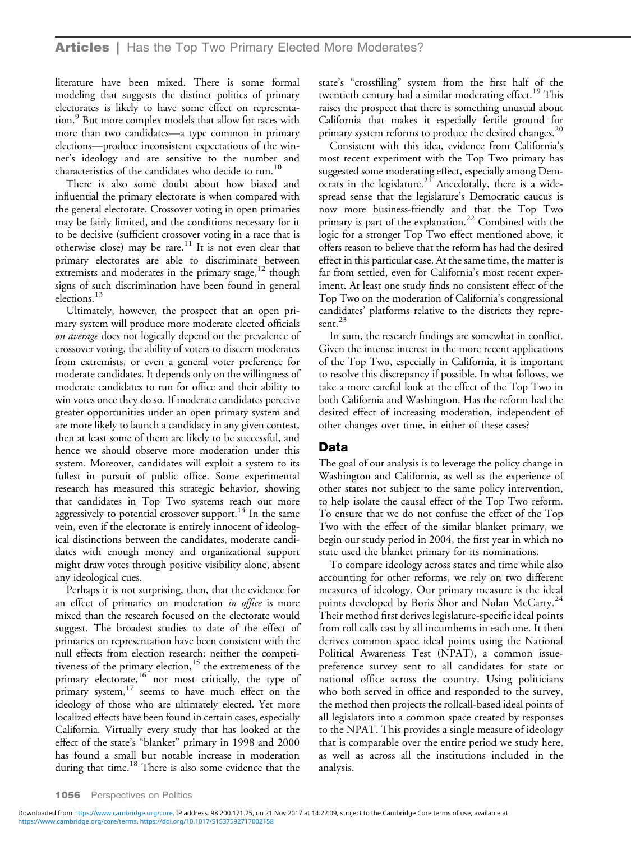literature have been mixed. There is some formal modeling that suggests the distinct politics of primary electorates is likely to have some effect on representation.<sup>9</sup> But more complex models that allow for races with more than two candidates—a type common in primary elections—produce inconsistent expectations of the winner's ideology and are sensitive to the number and characteristics of the candidates who decide to run.<sup>10</sup>

There is also some doubt about how biased and influential the primary electorate is when compared with the general electorate. Crossover voting in open primaries may be fairly limited, and the conditions necessary for it to be decisive (sufficient crossover voting in a race that is otherwise close) may be rare. $11$  It is not even clear that primary electorates are able to discriminate between extremists and moderates in the primary stage, $^{12}$  though signs of such discrimination have been found in general elections.<sup>13</sup>

Ultimately, however, the prospect that an open primary system will produce more moderate elected officials on average does not logically depend on the prevalence of crossover voting, the ability of voters to discern moderates from extremists, or even a general voter preference for moderate candidates. It depends only on the willingness of moderate candidates to run for office and their ability to win votes once they do so. If moderate candidates perceive greater opportunities under an open primary system and are more likely to launch a candidacy in any given contest, then at least some of them are likely to be successful, and hence we should observe more moderation under this system. Moreover, candidates will exploit a system to its fullest in pursuit of public office. Some experimental research has measured this strategic behavior, showing that candidates in Top Two systems reach out more aggressively to potential crossover support.<sup>14</sup> In the same vein, even if the electorate is entirely innocent of ideological distinctions between the candidates, moderate candidates with enough money and organizational support might draw votes through positive visibility alone, absent any ideological cues.

Perhaps it is not surprising, then, that the evidence for an effect of primaries on moderation in office is more mixed than the research focused on the electorate would suggest. The broadest studies to date of the effect of primaries on representation have been consistent with the null effects from election research: neither the competitiveness of the primary election,<sup>15</sup> the extremeness of the primary electorate,<sup>16</sup> nor most critically, the type of primary system,<sup>17</sup> seems to have much effect on the ideology of those who are ultimately elected. Yet more localized effects have been found in certain cases, especially California. Virtually every study that has looked at the effect of the state's "blanket" primary in 1998 and 2000 has found a small but notable increase in moderation during that time.<sup>18</sup> There is also some evidence that the

state's "crossfiling" system from the first half of the twentieth century had a similar moderating effect.<sup>19</sup> This raises the prospect that there is something unusual about California that makes it especially fertile ground for primary system reforms to produce the desired changes.<sup>20</sup>

Consistent with this idea, evidence from California's most recent experiment with the Top Two primary has suggested some moderating effect, especially among Democrats in the legislature.<sup>21</sup> Anecdotally, there is a widespread sense that the legislature's Democratic caucus is now more business-friendly and that the Top Two primary is part of the explanation.<sup>22</sup> Combined with the logic for a stronger Top Two effect mentioned above, it offers reason to believe that the reform has had the desired effect in this particular case. At the same time, the matter is far from settled, even for California's most recent experiment. At least one study finds no consistent effect of the Top Two on the moderation of California's congressional candidates' platforms relative to the districts they represent.<sup>23</sup>

In sum, the research findings are somewhat in conflict. Given the intense interest in the more recent applications of the Top Two, especially in California, it is important to resolve this discrepancy if possible. In what follows, we take a more careful look at the effect of the Top Two in both California and Washington. Has the reform had the desired effect of increasing moderation, independent of other changes over time, in either of these cases?

#### Data

The goal of our analysis is to leverage the policy change in Washington and California, as well as the experience of other states not subject to the same policy intervention, to help isolate the causal effect of the Top Two reform. To ensure that we do not confuse the effect of the Top Two with the effect of the similar blanket primary, we begin our study period in 2004, the first year in which no state used the blanket primary for its nominations.

To compare ideology across states and time while also accounting for other reforms, we rely on two different measures of ideology. Our primary measure is the ideal points developed by Boris Shor and Nolan McCarty.<sup>24</sup> Their method first derives legislature-specific ideal points from roll calls cast by all incumbents in each one. It then derives common space ideal points using the National Political Awareness Test (NPAT), a common issuepreference survey sent to all candidates for state or national office across the country. Using politicians who both served in office and responded to the survey, the method then projects the rollcall-based ideal points of all legislators into a common space created by responses to the NPAT. This provides a single measure of ideology that is comparable over the entire period we study here, as well as across all the institutions included in the analysis.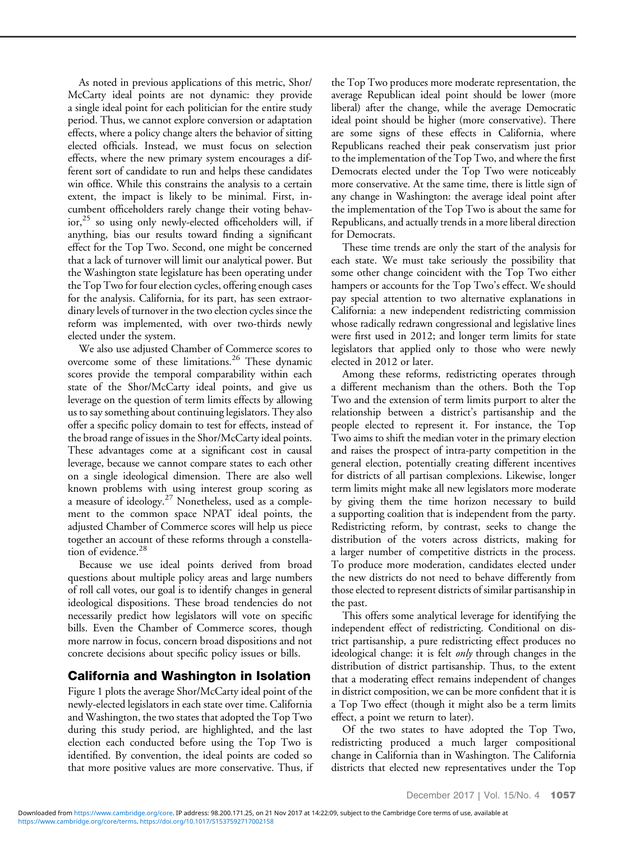As noted in previous applications of this metric, Shor/ McCarty ideal points are not dynamic: they provide a single ideal point for each politician for the entire study period. Thus, we cannot explore conversion or adaptation effects, where a policy change alters the behavior of sitting elected officials. Instead, we must focus on selection effects, where the new primary system encourages a different sort of candidate to run and helps these candidates win office. While this constrains the analysis to a certain extent, the impact is likely to be minimal. First, incumbent officeholders rarely change their voting behavior,<sup>25</sup> so using only newly-elected officeholders will, if anything, bias our results toward finding a significant effect for the Top Two. Second, one might be concerned that a lack of turnover will limit our analytical power. But the Washington state legislature has been operating under the Top Two for four election cycles, offering enough cases for the analysis. California, for its part, has seen extraordinary levels of turnover in the two election cycles since the reform was implemented, with over two-thirds newly elected under the system.

We also use adjusted Chamber of Commerce scores to overcome some of these limitations.<sup>26</sup> These dynamic scores provide the temporal comparability within each state of the Shor/McCarty ideal points, and give us leverage on the question of term limits effects by allowing us to say something about continuing legislators. They also offer a specific policy domain to test for effects, instead of the broad range of issues in the Shor/McCarty ideal points. These advantages come at a significant cost in causal leverage, because we cannot compare states to each other on a single ideological dimension. There are also well known problems with using interest group scoring as a measure of ideology. $27$  Nonetheless, used as a complement to the common space NPAT ideal points, the adjusted Chamber of Commerce scores will help us piece together an account of these reforms through a constellation of evidence.<sup>28</sup>

Because we use ideal points derived from broad questions about multiple policy areas and large numbers of roll call votes, our goal is to identify changes in general ideological dispositions. These broad tendencies do not necessarily predict how legislators will vote on specific bills. Even the Chamber of Commerce scores, though more narrow in focus, concern broad dispositions and not concrete decisions about specific policy issues or bills.

# California and Washington in Isolation

Figure 1 plots the average Shor/McCarty ideal point of the newly-elected legislators in each state over time. California and Washington, the two states that adopted the Top Two during this study period, are highlighted, and the last election each conducted before using the Top Two is identified. By convention, the ideal points are coded so that more positive values are more conservative. Thus, if

the Top Two produces more moderate representation, the average Republican ideal point should be lower (more liberal) after the change, while the average Democratic ideal point should be higher (more conservative). There are some signs of these effects in California, where Republicans reached their peak conservatism just prior to the implementation of the Top Two, and where the first Democrats elected under the Top Two were noticeably more conservative. At the same time, there is little sign of any change in Washington: the average ideal point after the implementation of the Top Two is about the same for Republicans, and actually trends in a more liberal direction for Democrats.

These time trends are only the start of the analysis for each state. We must take seriously the possibility that some other change coincident with the Top Two either hampers or accounts for the Top Two's effect. We should pay special attention to two alternative explanations in California: a new independent redistricting commission whose radically redrawn congressional and legislative lines were first used in 2012; and longer term limits for state legislators that applied only to those who were newly elected in 2012 or later.

Among these reforms, redistricting operates through a different mechanism than the others. Both the Top Two and the extension of term limits purport to alter the relationship between a district's partisanship and the people elected to represent it. For instance, the Top Two aims to shift the median voter in the primary election and raises the prospect of intra-party competition in the general election, potentially creating different incentives for districts of all partisan complexions. Likewise, longer term limits might make all new legislators more moderate by giving them the time horizon necessary to build a supporting coalition that is independent from the party. Redistricting reform, by contrast, seeks to change the distribution of the voters across districts, making for a larger number of competitive districts in the process. To produce more moderation, candidates elected under the new districts do not need to behave differently from those elected to represent districts of similar partisanship in the past.

This offers some analytical leverage for identifying the independent effect of redistricting. Conditional on district partisanship, a pure redistricting effect produces no ideological change: it is felt only through changes in the distribution of district partisanship. Thus, to the extent that a moderating effect remains independent of changes in district composition, we can be more confident that it is a Top Two effect (though it might also be a term limits effect, a point we return to later).

Of the two states to have adopted the Top Two, redistricting produced a much larger compositional change in California than in Washington. The California districts that elected new representatives under the Top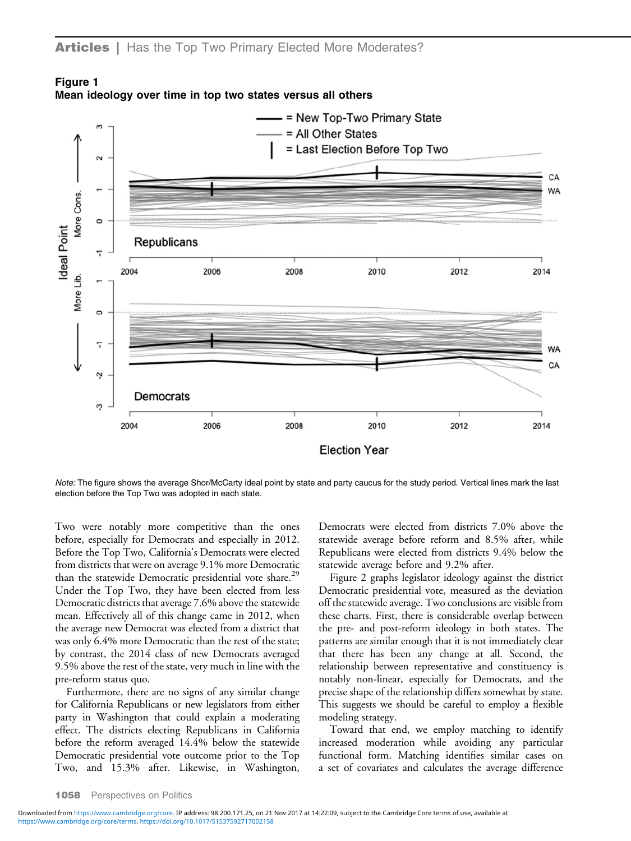

Figure 1 Mean ideology over time in top two states versus all others

Note: The figure shows the average Shor/McCarty ideal point by state and party caucus for the study period. Vertical lines mark the last election before the Top Two was adopted in each state.

Two were notably more competitive than the ones before, especially for Democrats and especially in 2012. Before the Top Two, California's Democrats were elected from districts that were on average 9.1% more Democratic than the statewide Democratic presidential vote share.<sup>29</sup> Under the Top Two, they have been elected from less Democratic districts that average 7.6% above the statewide mean. Effectively all of this change came in 2012, when the average new Democrat was elected from a district that was only 6.4% more Democratic than the rest of the state; by contrast, the 2014 class of new Democrats averaged 9.5% above the rest of the state, very much in line with the pre-reform status quo.

Furthermore, there are no signs of any similar change for California Republicans or new legislators from either party in Washington that could explain a moderating effect. The districts electing Republicans in California before the reform averaged 14.4% below the statewide Democratic presidential vote outcome prior to the Top Two, and 15.3% after. Likewise, in Washington,

Democrats were elected from districts 7.0% above the statewide average before reform and 8.5% after, while Republicans were elected from districts 9.4% below the statewide average before and 9.2% after.

Figure 2 graphs legislator ideology against the district Democratic presidential vote, measured as the deviation off the statewide average. Two conclusions are visible from these charts. First, there is considerable overlap between the pre- and post-reform ideology in both states. The patterns are similar enough that it is not immediately clear that there has been any change at all. Second, the relationship between representative and constituency is notably non-linear, especially for Democrats, and the precise shape of the relationship differs somewhat by state. This suggests we should be careful to employ a flexible modeling strategy.

Toward that end, we employ matching to identify increased moderation while avoiding any particular functional form. Matching identifies similar cases on a set of covariates and calculates the average difference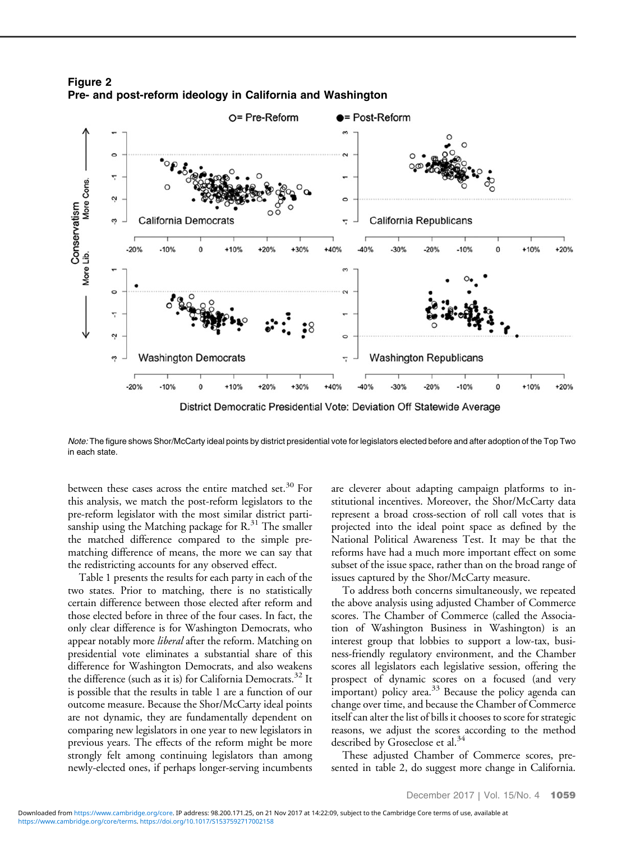O= Pre-Reform **•** Post-Reform ۳ More Cons. Ĉ c Conservatism California Democrats California Republicans ÷  $-20%$  $-10%$  $\mathbf{0}$  $+10%$  $+20%$ +30% +40%  $-30%$  $-20%$  $-10%$  $\Omega$  $+10%$  $+20%$ More Lib. S, ۳ ż  $\circ$ **Washington Democrats Washington Republicans** ఌ 7  $-20%$  $-10%$  $+10%$  $+20%$  $+30%$  $-30%$  $-20%$  $-10%$  $+10%$ 0 +40% 40% 0 +20% District Democratic Presidential Vote: Deviation Off Statewide Average

Figure 2 Pre- and post-reform ideology in California and Washington

Note: The figure shows Shor/McCarty ideal points by district presidential vote for legislators elected before and after adoption of the Top Two in each state.

between these cases across the entire matched set.<sup>30</sup> For this analysis, we match the post-reform legislators to the pre-reform legislator with the most similar district partisanship using the Matching package for  $R$ .<sup>31</sup> The smaller the matched difference compared to the simple prematching difference of means, the more we can say that the redistricting accounts for any observed effect.

Table 1 presents the results for each party in each of the two states. Prior to matching, there is no statistically certain difference between those elected after reform and those elected before in three of the four cases. In fact, the only clear difference is for Washington Democrats, who appear notably more *liberal* after the reform. Matching on presidential vote eliminates a substantial share of this difference for Washington Democrats, and also weakens the difference (such as it is) for California Democrats.<sup>32</sup> It is possible that the results in table 1 are a function of our outcome measure. Because the Shor/McCarty ideal points are not dynamic, they are fundamentally dependent on comparing new legislators in one year to new legislators in previous years. The effects of the reform might be more strongly felt among continuing legislators than among newly-elected ones, if perhaps longer-serving incumbents are cleverer about adapting campaign platforms to institutional incentives. Moreover, the Shor/McCarty data represent a broad cross-section of roll call votes that is projected into the ideal point space as defined by the National Political Awareness Test. It may be that the reforms have had a much more important effect on some subset of the issue space, rather than on the broad range of issues captured by the Shor/McCarty measure.

To address both concerns simultaneously, we repeated the above analysis using adjusted Chamber of Commerce scores. The Chamber of Commerce (called the Association of Washington Business in Washington) is an interest group that lobbies to support a low-tax, business-friendly regulatory environment, and the Chamber scores all legislators each legislative session, offering the prospect of dynamic scores on a focused (and very important) policy area. $33$  Because the policy agenda can change over time, and because the Chamber of Commerce itself can alter the list of bills it chooses to score for strategic reasons, we adjust the scores according to the method described by Groseclose et al.<sup>34</sup>

These adjusted Chamber of Commerce scores, presented in table 2, do suggest more change in California.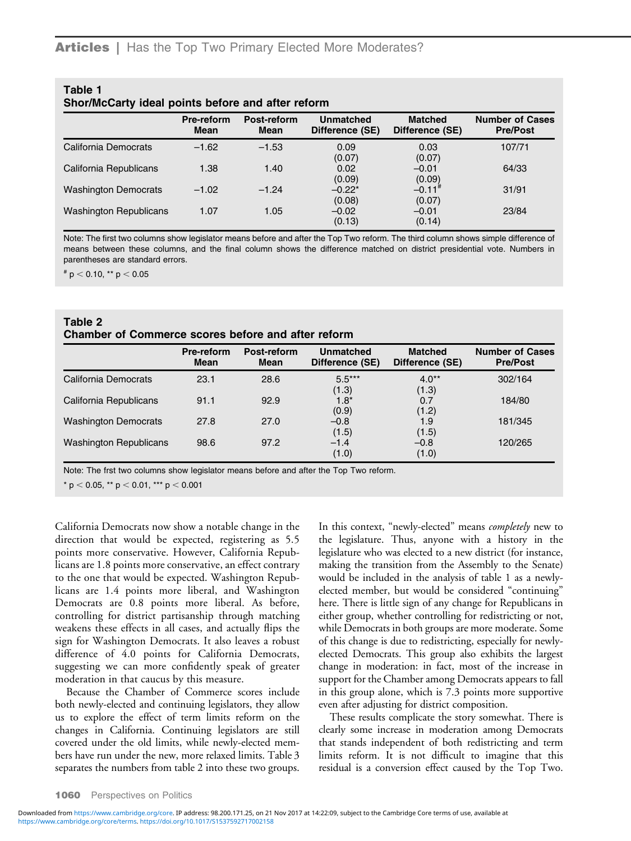| .<br>Shor/McCarty ideal points before and after reform |                           |                     |                                     |                                          |                                           |
|--------------------------------------------------------|---------------------------|---------------------|-------------------------------------|------------------------------------------|-------------------------------------------|
|                                                        | <b>Pre-reform</b><br>Mean | Post-reform<br>Mean | <b>Unmatched</b><br>Difference (SE) | <b>Matched</b><br>Difference (SE)        | <b>Number of Cases</b><br><b>Pre/Post</b> |
| California Democrats                                   | $-1.62$                   | $-1.53$             | 0.09<br>(0.07)                      | 0.03<br>(0.07)                           | 107/71                                    |
| California Republicans                                 | 1.38                      | 1.40                | 0.02<br>(0.09)                      | $-0.01$                                  | 64/33                                     |
| <b>Washington Democrats</b>                            | $-1.02$                   | $-1.24$             | $-0.22*$<br>(0.08)                  | $(0.09)$<br>-0.11 <sup>#</sup><br>(0.07) | 31/91                                     |
| <b>Washington Republicans</b>                          | 1.07                      | 1.05                | $-0.02$<br>(0.13)                   | $-0.01$<br>(0.14)                        | 23/84                                     |

Note: The first two columns show legislator means before and after the Top Two reform. The third column shows simple difference of means between these columns, and the final column shows the difference matched on district presidential vote. Numbers in parentheses are standard errors.

 $*$  p  $<$  0.10,  $**$  p  $<$  0.05

Table 1

#### Table 2 Chamber of Commerce scores before and after reform

|                               | <b>Pre-reform</b><br>Mean | Post-reform<br>Mean | Unmatched<br>Difference (SE) | <b>Matched</b><br>Difference (SE) | <b>Number of Cases</b><br><b>Pre/Post</b> |
|-------------------------------|---------------------------|---------------------|------------------------------|-----------------------------------|-------------------------------------------|
| California Democrats          | 23.1                      | 28.6                | $5.5***$                     | $4.0**$                           | 302/164                                   |
|                               |                           |                     | (1.3)                        | (1.3)                             |                                           |
| California Republicans        | 91.1                      | 92.9                | $1.8*$                       | 0.7                               | 184/80                                    |
| <b>Washington Democrats</b>   | 27.8                      | 27.0                | (0.9)<br>$-0.8$              | (1.2)<br>1.9                      | 181/345                                   |
|                               |                           |                     | (1.5)                        | (1.5)                             |                                           |
| <b>Washington Republicans</b> | 98.6                      | 97.2                | $-1.4$                       | $-0.8$                            | 120/265                                   |
|                               |                           |                     | (1.0)                        | (1.0)                             |                                           |

Note: The frst two columns show legislator means before and after the Top Two reform.

\* p  $<$  0.05, \*\* p  $<$  0.01, \*\*\* p  $<$  0.001

California Democrats now show a notable change in the direction that would be expected, registering as 5.5 points more conservative. However, California Republicans are 1.8 points more conservative, an effect contrary to the one that would be expected. Washington Republicans are 1.4 points more liberal, and Washington Democrats are 0.8 points more liberal. As before, controlling for district partisanship through matching weakens these effects in all cases, and actually flips the sign for Washington Democrats. It also leaves a robust difference of 4.0 points for California Democrats, suggesting we can more confidently speak of greater moderation in that caucus by this measure.

Because the Chamber of Commerce scores include both newly-elected and continuing legislators, they allow us to explore the effect of term limits reform on the changes in California. Continuing legislators are still covered under the old limits, while newly-elected members have run under the new, more relaxed limits. Table 3 separates the numbers from table 2 into these two groups.

In this context, "newly-elected" means *completely* new to the legislature. Thus, anyone with a history in the legislature who was elected to a new district (for instance, making the transition from the Assembly to the Senate) would be included in the analysis of table 1 as a newlyelected member, but would be considered "continuing" here. There is little sign of any change for Republicans in either group, whether controlling for redistricting or not, while Democrats in both groups are more moderate. Some of this change is due to redistricting, especially for newlyelected Democrats. This group also exhibits the largest change in moderation: in fact, most of the increase in support for the Chamber among Democrats appears to fall in this group alone, which is 7.3 points more supportive even after adjusting for district composition.

These results complicate the story somewhat. There is clearly some increase in moderation among Democrats that stands independent of both redistricting and term limits reform. It is not difficult to imagine that this residual is a conversion effect caused by the Top Two.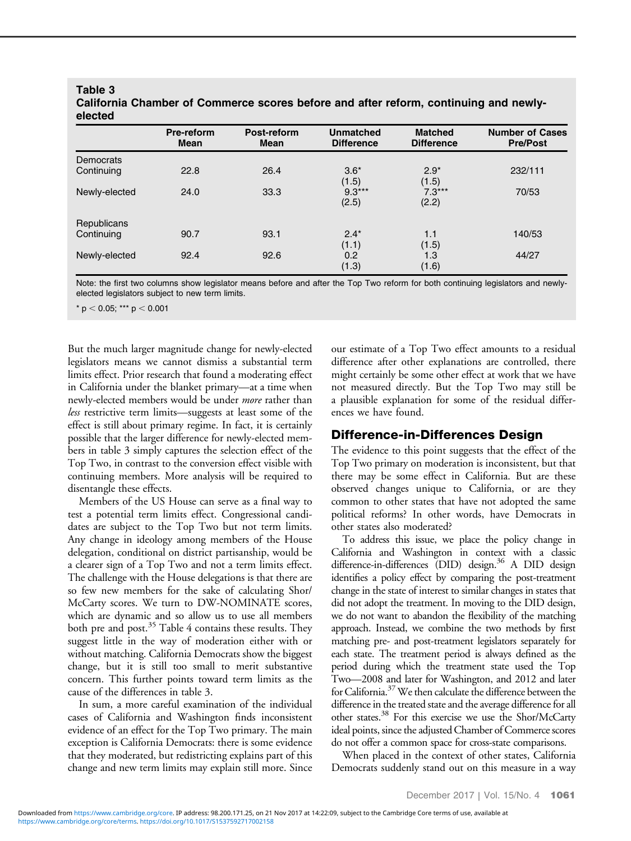|               | <b>Pre-reform</b><br><b>Mean</b> | Post-reform<br>Mean | <b>Unmatched</b><br><b>Difference</b> | <b>Matched</b><br><b>Difference</b> | <b>Number of Cases</b><br><b>Pre/Post</b> |
|---------------|----------------------------------|---------------------|---------------------------------------|-------------------------------------|-------------------------------------------|
| Democrats     |                                  |                     |                                       |                                     |                                           |
| Continuing    | 22.8                             | 26.4                | $3.6*$<br>(1.5)                       | $2.9*$<br>(1.5)                     | 232/111                                   |
| Newly-elected | 24.0                             | 33.3                | $9.3***$<br>(2.5)                     | $7.3***$<br>(2.2)                   | 70/53                                     |
| Republicans   |                                  |                     |                                       |                                     |                                           |
| Continuing    | 90.7                             | 93.1                | $2.4*$<br>(1.1)                       | 1.1<br>(1.5)                        | 140/53                                    |
| Newly-elected | 92.4                             | 92.6                | 0.2<br>(1.3)                          | 1.3<br>(1.6)                        | 44/27                                     |

#### Table 3 California Chamber of Commerce scores before and after reform, continuing and newlyelected

Note: the first two columns show legislator means before and after the Top Two reform for both continuing legislators and newlyelected legislators subject to new term limits.

\* p  $<$  0.05; \*\*\* p  $<$  0.001

But the much larger magnitude change for newly-elected legislators means we cannot dismiss a substantial term limits effect. Prior research that found a moderating effect in California under the blanket primary—at a time when newly-elected members would be under *more* rather than less restrictive term limits—suggests at least some of the effect is still about primary regime. In fact, it is certainly possible that the larger difference for newly-elected members in table 3 simply captures the selection effect of the Top Two, in contrast to the conversion effect visible with continuing members. More analysis will be required to disentangle these effects.

Members of the US House can serve as a final way to test a potential term limits effect. Congressional candidates are subject to the Top Two but not term limits. Any change in ideology among members of the House delegation, conditional on district partisanship, would be a clearer sign of a Top Two and not a term limits effect. The challenge with the House delegations is that there are so few new members for the sake of calculating Shor/ McCarty scores. We turn to DW-NOMINATE scores, which are dynamic and so allow us to use all members both pre and post.<sup>35</sup> Table 4 contains these results. They suggest little in the way of moderation either with or without matching. California Democrats show the biggest change, but it is still too small to merit substantive concern. This further points toward term limits as the cause of the differences in table 3.

In sum, a more careful examination of the individual cases of California and Washington finds inconsistent evidence of an effect for the Top Two primary. The main exception is California Democrats: there is some evidence that they moderated, but redistricting explains part of this change and new term limits may explain still more. Since our estimate of a Top Two effect amounts to a residual difference after other explanations are controlled, there might certainly be some other effect at work that we have not measured directly. But the Top Two may still be a plausible explanation for some of the residual differences we have found.

## Difference-in-Differences Design

The evidence to this point suggests that the effect of the Top Two primary on moderation is inconsistent, but that there may be some effect in California. But are these observed changes unique to California, or are they common to other states that have not adopted the same political reforms? In other words, have Democrats in other states also moderated?

To address this issue, we place the policy change in California and Washington in context with a classic difference-in-differences (DID) design.<sup>36</sup> A DID design identifies a policy effect by comparing the post-treatment change in the state of interest to similar changes in states that did not adopt the treatment. In moving to the DID design, we do not want to abandon the flexibility of the matching approach. Instead, we combine the two methods by first matching pre- and post-treatment legislators separately for each state. The treatment period is always defined as the period during which the treatment state used the Top Two—2008 and later for Washington, and 2012 and later for California.37We then calculate the difference between the difference in the treated state and the average difference for all other states.38 For this exercise we use the Shor/McCarty ideal points, since the adjusted Chamber of Commerce scores do not offer a common space for cross-state comparisons.

When placed in the context of other states, California Democrats suddenly stand out on this measure in a way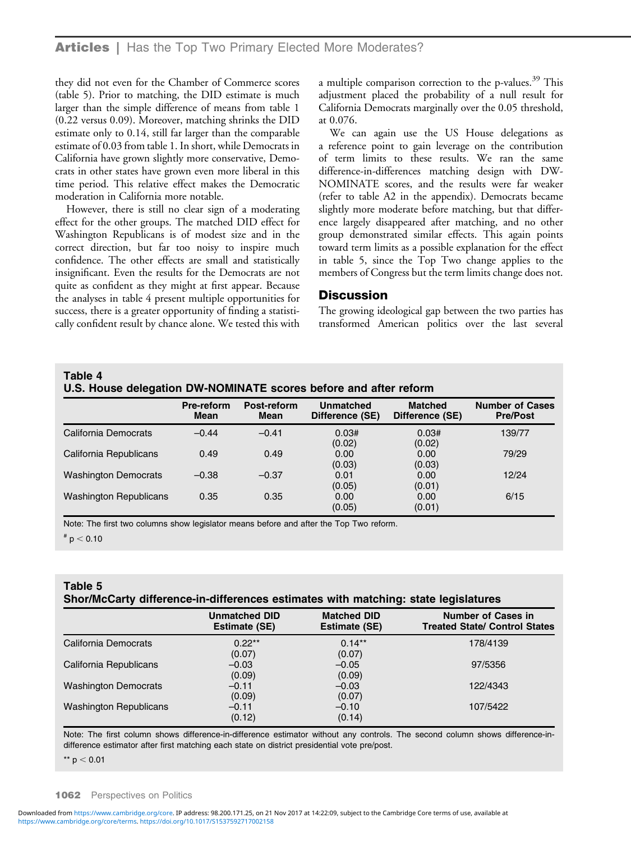they did not even for the Chamber of Commerce scores (table 5). Prior to matching, the DID estimate is much larger than the simple difference of means from table 1 (0.22 versus 0.09). Moreover, matching shrinks the DID estimate only to 0.14, still far larger than the comparable estimate of 0.03 from table 1. In short, while Democrats in California have grown slightly more conservative, Democrats in other states have grown even more liberal in this time period. This relative effect makes the Democratic moderation in California more notable.

However, there is still no clear sign of a moderating effect for the other groups. The matched DID effect for Washington Republicans is of modest size and in the correct direction, but far too noisy to inspire much confidence. The other effects are small and statistically insignificant. Even the results for the Democrats are not quite as confident as they might at first appear. Because the analyses in table 4 present multiple opportunities for success, there is a greater opportunity of finding a statistically confident result by chance alone. We tested this with a multiple comparison correction to the p-values.<sup>39</sup> This adjustment placed the probability of a null result for California Democrats marginally over the 0.05 threshold, at 0.076.

We can again use the US House delegations as a reference point to gain leverage on the contribution of term limits to these results. We ran the same difference-in-differences matching design with DW-NOMINATE scores, and the results were far weaker (refer to table A2 in the appendix). Democrats became slightly more moderate before matching, but that difference largely disappeared after matching, and no other group demonstrated similar effects. This again points toward term limits as a possible explanation for the effect in table 5, since the Top Two change applies to the members of Congress but the term limits change does not.

#### **Discussion**

The growing ideological gap between the two parties has transformed American politics over the last several

Table 4

U.S. House delegation DW-NOMINATE scores before and after reform

|                               | <b>Pre-reform</b><br>Mean | Post-reform<br><b>Mean</b> | <b>Unmatched</b><br>Difference (SE) | <b>Matched</b><br>Difference (SE) | <b>Number of Cases</b><br><b>Pre/Post</b> |
|-------------------------------|---------------------------|----------------------------|-------------------------------------|-----------------------------------|-------------------------------------------|
| California Democrats          | $-0.44$                   | $-0.41$                    | 0.03#<br>(0.02)                     | 0.03#<br>(0.02)                   | 139/77                                    |
| California Republicans        | 0.49                      | 0.49                       | 0.00<br>(0.03)                      | 0.00<br>(0.03)                    | 79/29                                     |
| <b>Washington Democrats</b>   | $-0.38$                   | $-0.37$                    | 0.01<br>(0.05)                      | 0.00<br>(0.01)                    | 12/24                                     |
| <b>Washington Republicans</b> | 0.35                      | 0.35                       | 0.00<br>(0.05)                      | 0.00<br>(0.01)                    | 6/15                                      |

Note: The first two columns show legislator means before and after the Top Two reform.

 $*$  p  $<$  0.10

#### Table 5 Shor/McCarty difference-in-differences estimates with matching: state legislatures

|                               | <b>Unmatched DID</b><br>Estimate (SE) | <b>Matched DID</b><br><b>Estimate (SE)</b> | <b>Number of Cases in</b><br><b>Treated State/ Control States</b> |
|-------------------------------|---------------------------------------|--------------------------------------------|-------------------------------------------------------------------|
| California Democrats          | $0.22***$                             | $0.14***$                                  | 178/4139                                                          |
| California Republicans        | (0.07)<br>$-0.03$                     | (0.07)<br>$-0.05$                          | 97/5356                                                           |
| <b>Washington Democrats</b>   | (0.09)<br>$-0.11$                     | (0.09)<br>$-0.03$                          | 122/4343                                                          |
| <b>Washington Republicans</b> | (0.09)<br>$-0.11$                     | (0.07)<br>$-0.10$                          | 107/5422                                                          |
|                               | (0.12)                                | (0.14)                                     |                                                                   |

Note: The first column shows difference-in-difference estimator without any controls. The second column shows difference-indifference estimator after first matching each state on district presidential vote pre/post.

\*\*  $p < 0.01$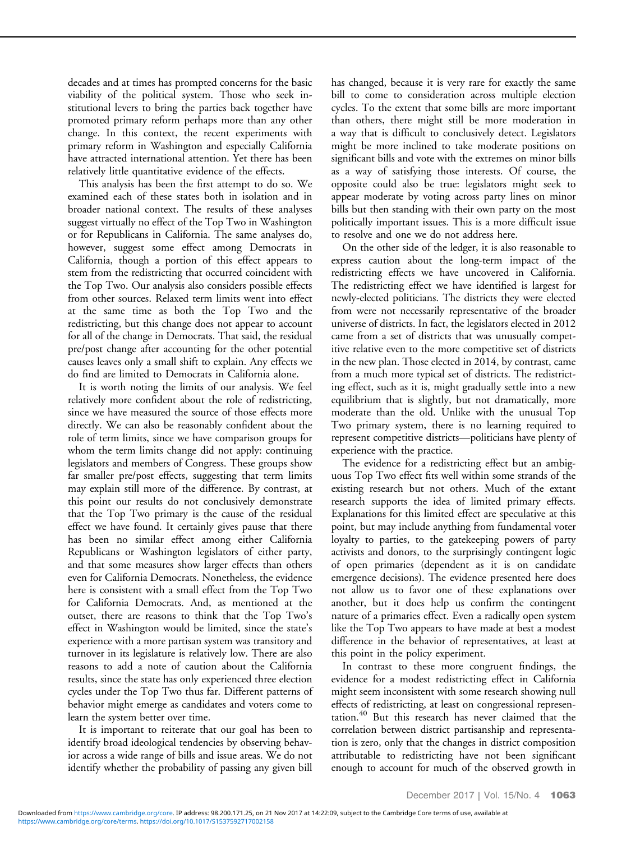decades and at times has prompted concerns for the basic viability of the political system. Those who seek institutional levers to bring the parties back together have promoted primary reform perhaps more than any other change. In this context, the recent experiments with primary reform in Washington and especially California have attracted international attention. Yet there has been relatively little quantitative evidence of the effects.

This analysis has been the first attempt to do so. We examined each of these states both in isolation and in broader national context. The results of these analyses suggest virtually no effect of the Top Two in Washington or for Republicans in California. The same analyses do, however, suggest some effect among Democrats in California, though a portion of this effect appears to stem from the redistricting that occurred coincident with the Top Two. Our analysis also considers possible effects from other sources. Relaxed term limits went into effect at the same time as both the Top Two and the redistricting, but this change does not appear to account for all of the change in Democrats. That said, the residual pre/post change after accounting for the other potential causes leaves only a small shift to explain. Any effects we do find are limited to Democrats in California alone.

It is worth noting the limits of our analysis. We feel relatively more confident about the role of redistricting, since we have measured the source of those effects more directly. We can also be reasonably confident about the role of term limits, since we have comparison groups for whom the term limits change did not apply: continuing legislators and members of Congress. These groups show far smaller pre/post effects, suggesting that term limits may explain still more of the difference. By contrast, at this point our results do not conclusively demonstrate that the Top Two primary is the cause of the residual effect we have found. It certainly gives pause that there has been no similar effect among either California Republicans or Washington legislators of either party, and that some measures show larger effects than others even for California Democrats. Nonetheless, the evidence here is consistent with a small effect from the Top Two for California Democrats. And, as mentioned at the outset, there are reasons to think that the Top Two's effect in Washington would be limited, since the state's experience with a more partisan system was transitory and turnover in its legislature is relatively low. There are also reasons to add a note of caution about the California results, since the state has only experienced three election cycles under the Top Two thus far. Different patterns of behavior might emerge as candidates and voters come to learn the system better over time.

It is important to reiterate that our goal has been to identify broad ideological tendencies by observing behavior across a wide range of bills and issue areas. We do not identify whether the probability of passing any given bill has changed, because it is very rare for exactly the same bill to come to consideration across multiple election cycles. To the extent that some bills are more important than others, there might still be more moderation in a way that is difficult to conclusively detect. Legislators might be more inclined to take moderate positions on significant bills and vote with the extremes on minor bills as a way of satisfying those interests. Of course, the opposite could also be true: legislators might seek to appear moderate by voting across party lines on minor bills but then standing with their own party on the most politically important issues. This is a more difficult issue to resolve and one we do not address here.

On the other side of the ledger, it is also reasonable to express caution about the long-term impact of the redistricting effects we have uncovered in California. The redistricting effect we have identified is largest for newly-elected politicians. The districts they were elected from were not necessarily representative of the broader universe of districts. In fact, the legislators elected in 2012 came from a set of districts that was unusually competitive relative even to the more competitive set of districts in the new plan. Those elected in 2014, by contrast, came from a much more typical set of districts. The redistricting effect, such as it is, might gradually settle into a new equilibrium that is slightly, but not dramatically, more moderate than the old. Unlike with the unusual Top Two primary system, there is no learning required to represent competitive districts—politicians have plenty of experience with the practice.

The evidence for a redistricting effect but an ambiguous Top Two effect fits well within some strands of the existing research but not others. Much of the extant research supports the idea of limited primary effects. Explanations for this limited effect are speculative at this point, but may include anything from fundamental voter loyalty to parties, to the gatekeeping powers of party activists and donors, to the surprisingly contingent logic of open primaries (dependent as it is on candidate emergence decisions). The evidence presented here does not allow us to favor one of these explanations over another, but it does help us confirm the contingent nature of a primaries effect. Even a radically open system like the Top Two appears to have made at best a modest difference in the behavior of representatives, at least at this point in the policy experiment.

In contrast to these more congruent findings, the evidence for a modest redistricting effect in California might seem inconsistent with some research showing null effects of redistricting, at least on congressional representation.<sup>40</sup> But this research has never claimed that the correlation between district partisanship and representation is zero, only that the changes in district composition attributable to redistricting have not been significant enough to account for much of the observed growth in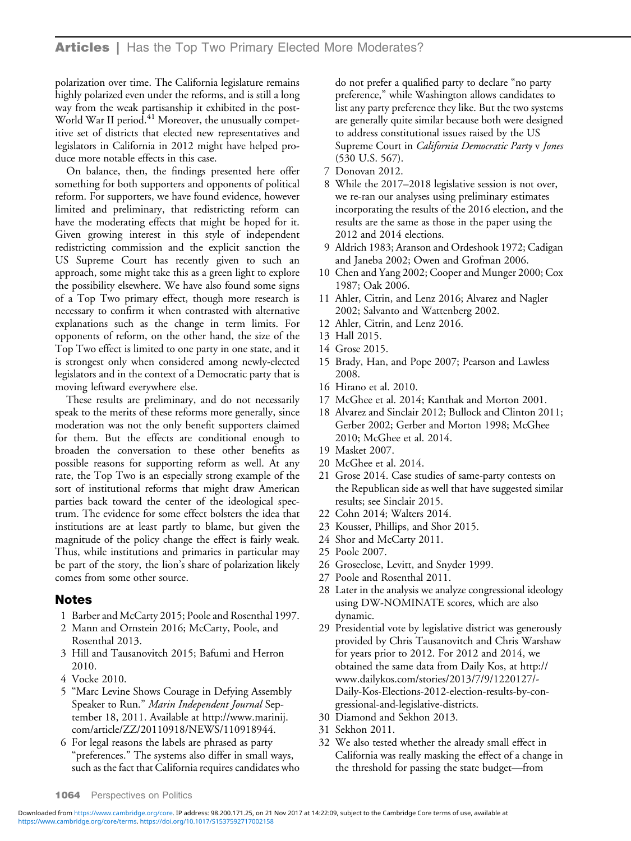polarization over time. The California legislature remains highly polarized even under the reforms, and is still a long way from the weak partisanship it exhibited in the post-World War II period.<sup>41</sup> Moreover, the unusually competitive set of districts that elected new representatives and legislators in California in 2012 might have helped produce more notable effects in this case.

On balance, then, the findings presented here offer something for both supporters and opponents of political reform. For supporters, we have found evidence, however limited and preliminary, that redistricting reform can have the moderating effects that might be hoped for it. Given growing interest in this style of independent redistricting commission and the explicit sanction the US Supreme Court has recently given to such an approach, some might take this as a green light to explore the possibility elsewhere. We have also found some signs of a Top Two primary effect, though more research is necessary to confirm it when contrasted with alternative explanations such as the change in term limits. For opponents of reform, on the other hand, the size of the Top Two effect is limited to one party in one state, and it is strongest only when considered among newly-elected legislators and in the context of a Democratic party that is moving leftward everywhere else.

These results are preliminary, and do not necessarily speak to the merits of these reforms more generally, since moderation was not the only benefit supporters claimed for them. But the effects are conditional enough to broaden the conversation to these other benefits as possible reasons for supporting reform as well. At any rate, the Top Two is an especially strong example of the sort of institutional reforms that might draw American parties back toward the center of the ideological spectrum. The evidence for some effect bolsters the idea that institutions are at least partly to blame, but given the magnitude of the policy change the effect is fairly weak. Thus, while institutions and primaries in particular may be part of the story, the lion's share of polarization likely comes from some other source.

#### Notes

- 1 Barber and McCarty 2015; Poole and Rosenthal 1997.
- 2 Mann and Ornstein 2016; McCarty, Poole, and Rosenthal 2013.
- 3 Hill and Tausanovitch 2015; Bafumi and Herron 2010.
- 4 Vocke 2010.
- 5 "Marc Levine Shows Courage in Defying Assembly Speaker to Run." Marin Independent Journal September 18, 2011. Available at [http://www.marinij.](http://www.marinij.com/article/ZZ/20110918/NEWS/110918944) [com/article/ZZ/20110918/NEWS/110918944](http://www.marinij.com/article/ZZ/20110918/NEWS/110918944).
- 6 For legal reasons the labels are phrased as party "preferences." The systems also differ in small ways, such as the fact that California requires candidates who

do not prefer a qualified party to declare "no party preference," while Washington allows candidates to list any party preference they like. But the two systems are generally quite similar because both were designed to address constitutional issues raised by the US Supreme Court in California Democratic Party v Jones (530 U.S. 567).

- 7 Donovan 2012.
- 8 While the 2017–2018 legislative session is not over, we re-ran our analyses using preliminary estimates incorporating the results of the 2016 election, and the results are the same as those in the paper using the 2012 and 2014 elections.
- 9 Aldrich 1983; Aranson and Ordeshook 1972; Cadigan and Janeba 2002; Owen and Grofman 2006.
- 10 Chen and Yang 2002; Cooper and Munger 2000; Cox 1987; Oak 2006.
- 11 Ahler, Citrin, and Lenz 2016; Alvarez and Nagler 2002; Salvanto and Wattenberg 2002.
- 12 Ahler, Citrin, and Lenz 2016.
- 13 Hall 2015.
- 14 Grose 2015.
- 15 Brady, Han, and Pope 2007; Pearson and Lawless 2008.
- 16 Hirano et al. 2010.
- 17 McGhee et al. 2014; Kanthak and Morton 2001.
- 18 Alvarez and Sinclair 2012; Bullock and Clinton 2011; Gerber 2002; Gerber and Morton 1998; McGhee 2010; McGhee et al. 2014.
- 19 Masket 2007.
- 20 McGhee et al. 2014.
- 21 Grose 2014. Case studies of same-party contests on the Republican side as well that have suggested similar results; see Sinclair 2015.
- 22 Cohn 2014; Walters 2014.
- 23 Kousser, Phillips, and Shor 2015.
- 24 Shor and McCarty 2011.
- 25 Poole 2007.
- 26 Groseclose, Levitt, and Snyder 1999.
- 27 Poole and Rosenthal 2011.
- 28 Later in the analysis we analyze congressional ideology using DW-NOMINATE scores, which are also dynamic.
- 29 Presidential vote by legislative district was generously provided by Chris Tausanovitch and Chris Warshaw for years prior to 2012. For 2012 and 2014, we obtained the same data from Daily Kos, at [http://](http://www.dailykos.com/stories/2013/7/9/1220127/-Daily-Kos-Elections-2012-election-results-by-congressional-and-legislative-districts) [www.dailykos.com/stories/2013/7/9/1220127/-](http://www.dailykos.com/stories/2013/7/9/1220127/-Daily-Kos-Elections-2012-election-results-by-congressional-and-legislative-districts) [Daily-Kos-Elections-2012-election-results-by-con](http://www.dailykos.com/stories/2013/7/9/1220127/-Daily-Kos-Elections-2012-election-results-by-congressional-and-legislative-districts)[gressional-and-legislative-districts.](http://www.dailykos.com/stories/2013/7/9/1220127/-Daily-Kos-Elections-2012-election-results-by-congressional-and-legislative-districts)
- 30 Diamond and Sekhon 2013.
- 31 Sekhon 2011.
- 32 We also tested whether the already small effect in California was really masking the effect of a change in the threshold for passing the state budget—from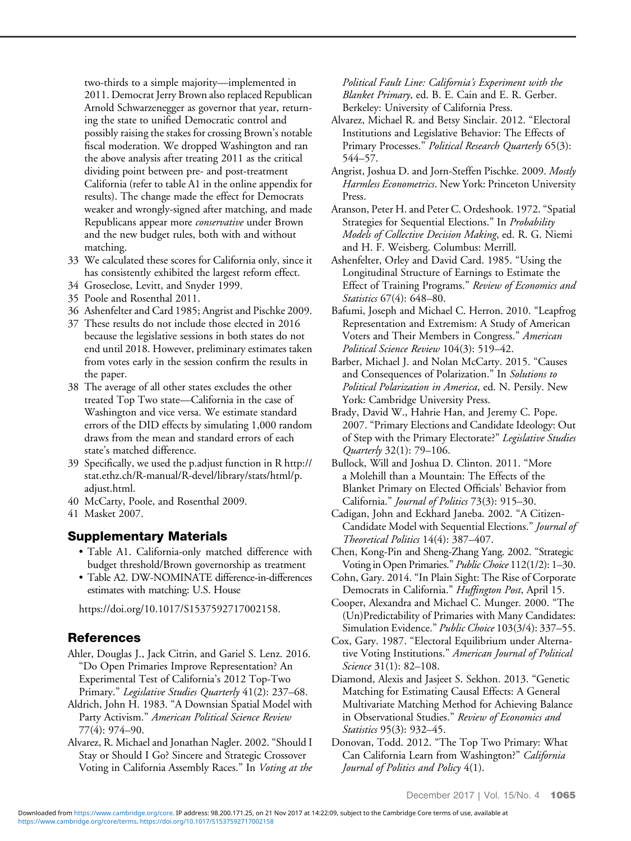two-thirds to a simple majority—implemented in 2011. Democrat Jerry Brown also replaced Republican Arnold Schwarzenegger as governor that year, returning the state to unified Democratic control and possibly raising the stakes for crossing Brown's notable fiscal moderation. We dropped Washington and ran the above analysis after treating 2011 as the critical dividing point between pre- and post-treatment California (refer to table A1 in the online appendix for results). The change made the effect for Democrats weaker and wrongly-signed after matching, and made Republicans appear more conservative under Brown and the new budget rules, both with and without matching.

- 33 We calculated these scores for California only, since it has consistently exhibited the largest reform effect.
- 34 Groseclose, Levitt, and Snyder 1999.
- 35 Poole and Rosenthal 2011.
- 36 Ashenfelter and Card 1985; Angrist and Pischke 2009.
- 37 These results do not include those elected in 2016 because the legislative sessions in both states do not end until 2018. However, preliminary estimates taken from votes early in the session confirm the results in the paper.
- 38 The average of all other states excludes the other treated Top Two state—California in the case of Washington and vice versa. We estimate standard errors of the DID effects by simulating 1,000 random draws from the mean and standard errors of each state's matched difference.
- 39 Specifically, we used the p.adjust function in R [http://](http://stat.ethz.ch/R-manual/R-devel/library/stats/html/p.adjust.html) [stat.ethz.ch/R-manual/R-devel/library/stats/html/p.](http://stat.ethz.ch/R-manual/R-devel/library/stats/html/p.adjust.html) [adjust.html](http://stat.ethz.ch/R-manual/R-devel/library/stats/html/p.adjust.html).
- 40 McCarty, Poole, and Rosenthal 2009.
- 41 Masket 2007.

# Supplementary Materials

- Table A1. California-only matched difference with budget threshold/Brown governorship as treatment
- Table A2. DW-NOMINATE difference-in-differences estimates with matching: U.S. House

[https://doi.org/10.1017/S1537592717002158.](https://doi.org/10.1017/S1537592717002158)

# References

Ahler, Douglas J., Jack Citrin, and Gariel S. Lenz. 2016. "Do Open Primaries Improve Representation? An Experimental Test of California's 2012 Top-Two Primary." Legislative Studies Quarterly 41(2): 237–68.

- Aldrich, John H. 1983. "A Downsian Spatial Model with Party Activism." American Political Science Review 77(4): 974–90.
- Alvarez, R. Michael and Jonathan Nagler. 2002. "Should I Stay or Should I Go? Sincere and Strategic Crossover Voting in California Assembly Races." In Voting at the

Political Fault Line: California's Experiment with the Blanket Primary, ed. B. E. Cain and E. R. Gerber. Berkeley: University of California Press.

- Alvarez, Michael R. and Betsy Sinclair. 2012. "Electoral Institutions and Legislative Behavior: The Effects of Primary Processes." Political Research Quarterly 65(3): 544–57.
- Angrist, Joshua D. and Jorn-Steffen Pischke. 2009. Mostly Harmless Econometrics. New York: Princeton University Press.

Aranson, Peter H. and Peter C. Ordeshook. 1972."Spatial Strategies for Sequential Elections." In Probability Models of Collective Decision Making, ed. R. G. Niemi and H. F. Weisberg. Columbus: Merrill.

- Ashenfelter, Orley and David Card. 1985. "Using the Longitudinal Structure of Earnings to Estimate the Effect of Training Programs." Review of Economics and Statistics 67(4): 648-80.
- Bafumi, Joseph and Michael C. Herron. 2010. "Leapfrog Representation and Extremism: A Study of American Voters and Their Members in Congress." American Political Science Review 104(3): 519–42.
- Barber, Michael J. and Nolan McCarty. 2015. "Causes and Consequences of Polarization." In Solutions to Political Polarization in America, ed. N. Persily. New York: Cambridge University Press.
- Brady, David W., Hahrie Han, and Jeremy C. Pope. 2007. "Primary Elections and Candidate Ideology: Out of Step with the Primary Electorate?" Legislative Studies Quarterly 32(1): 79–106.
- Bullock, Will and Joshua D. Clinton. 2011. "More a Molehill than a Mountain: The Effects of the Blanket Primary on Elected Officials' Behavior from California." Journal of Politics 73(3): 915-30.
- Cadigan, John and Eckhard Janeba. 2002. "A Citizen-Candidate Model with Sequential Elections." Journal of Theoretical Politics 14(4): 387–407.
- Chen, Kong-Pin and Sheng-Zhang Yang. 2002. "Strategic Voting in Open Primaries." Public Choice 112(1/2): 1-30.
- Cohn, Gary. 2014. "In Plain Sight: The Rise of Corporate Democrats in California." Huffington Post, April 15.
- Cooper, Alexandra and Michael C. Munger. 2000. "The (Un)Predictability of Primaries with Many Candidates: Simulation Evidence." Public Choice 103(3/4): 337–55.
- Cox, Gary. 1987. "Electoral Equilibrium under Alternative Voting Institutions." American Journal of Political Science 31(1): 82-108.
- Diamond, Alexis and Jasjeet S. Sekhon. 2013. "Genetic Matching for Estimating Causal Effects: A General Multivariate Matching Method for Achieving Balance in Observational Studies." Review of Economics and Statistics 95(3): 932–45.
- Donovan, Todd. 2012. "The Top Two Primary: What Can California Learn from Washington?" California Journal of Politics and Policy 4(1).